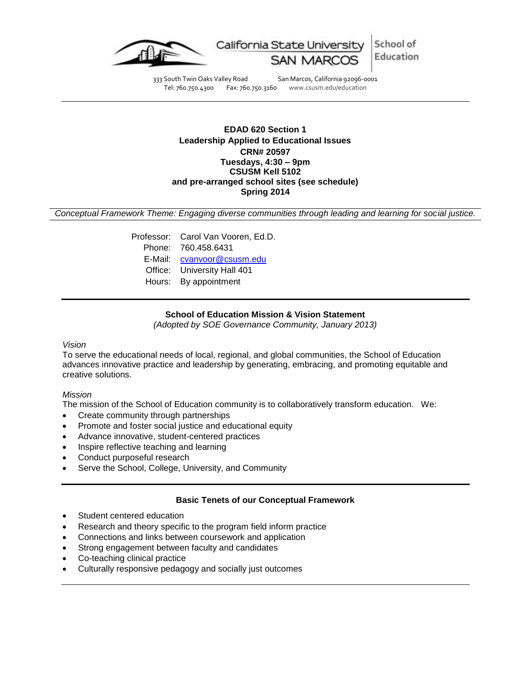

333 South Twin Oaks Valley Road San Marcos, California 92096-0001<br>Tel: 760.750.4300 Fax: 760.750.3160 www.csusm.edu/education Tel: 760.750.4300 Fax: 760.750.3160 www.csusm.edu/education

## **EDAD 620 Section 1 Leadership Applied to Educational Issues CRN# 20597 Tuesdays, 4:30 – 9pm CSUSM Kell 5102 and pre-arranged school sites (see schedule) Spring 2014**

*Conceptual Framework Theme: Engaging diverse communities through leading and learning for social justice.*

Professor: Carol Van Vooren, Ed.D. Phone: 760.458.6431 E-Mail: [cvanvoor@csusm.edu](mailto:cvanvoor@csusm.edu) Office: University Hall 401 Hours: By appointment

## **School of Education Mission & Vision Statement**

*(Adopted by SOE Governance Community, January 2013)*

#### *Vision*

To serve the educational needs of local, regional, and global communities, the School of Education advances innovative practice and leadership by generating, embracing, and promoting equitable and creative solutions.

#### *Mission*

The mission of the School of Education community is to collaboratively transform education. We:

- Create community through partnerships
- Promote and foster social justice and educational equity
- Advance innovative, student-centered practices
- Inspire reflective teaching and learning
- Conduct purposeful research
- Serve the School, College, University, and Community

### **Basic Tenets of our Conceptual Framework**

- Student centered education
- Research and theory specific to the program field inform practice
- Connections and links between coursework and application
- Strong engagement between faculty and candidates
- Co-teaching clinical practice
- Culturally responsive pedagogy and socially just outcomes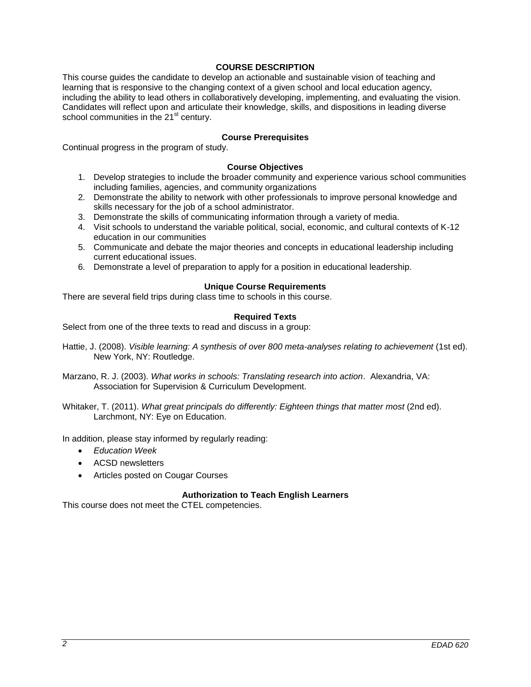## **COURSE DESCRIPTION**

This course guides the candidate to develop an actionable and sustainable vision of teaching and learning that is responsive to the changing context of a given school and local education agency, including the ability to lead others in collaboratively developing, implementing, and evaluating the vision. Candidates will reflect upon and articulate their knowledge, skills, and dispositions in leading diverse school communities in the  $21<sup>st</sup>$  century.

## **Course Prerequisites**

Continual progress in the program of study.

### **Course Objectives**

- 1. Develop strategies to include the broader community and experience various school communities including families, agencies, and community organizations
- 2. Demonstrate the ability to network with other professionals to improve personal knowledge and skills necessary for the job of a school administrator.
- 3. Demonstrate the skills of communicating information through a variety of media.
- 4. Visit schools to understand the variable political, social, economic, and cultural contexts of K-12 education in our communities
- 5. Communicate and debate the major theories and concepts in educational leadership including current educational issues.
- 6. Demonstrate a level of preparation to apply for a position in educational leadership.

## **Unique Course Requirements**

There are several field trips during class time to schools in this course.

## **Required Texts**

Select from one of the three texts to read and discuss in a group:

- Hattie, J. (2008). *Visible learning: A synthesis of over 800 meta-analyses relating to achievement* (1st ed). New York, NY: Routledge.
- Marzano, R. J. (2003). *What works in schools: Translating research into action*. Alexandria, VA: Association for Supervision & Curriculum Development.

Whitaker, T. (2011). *What great principals do differently: Eighteen things that matter most* (2nd ed). Larchmont, NY: Eye on Education.

In addition, please stay informed by regularly reading:

- *Education Week*
- ACSD newsletters
- Articles posted on Cougar Courses

### **Authorization to Teach English Learners**

This course does not meet the CTEL competencies.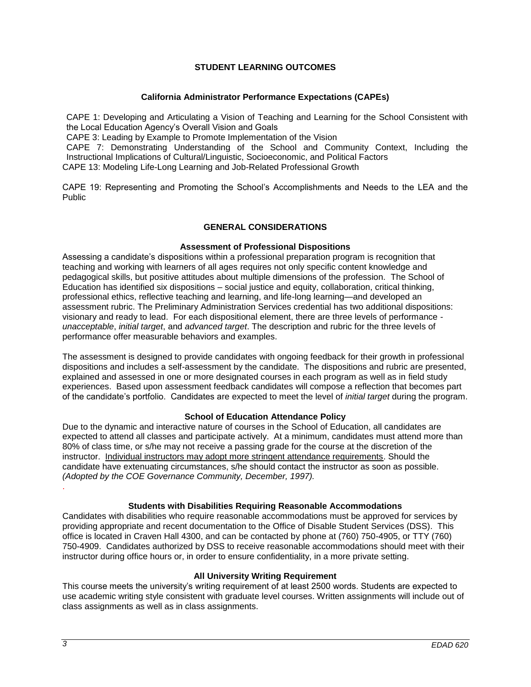## **STUDENT LEARNING OUTCOMES**

#### **California Administrator Performance Expectations (CAPEs)**

CAPE 1: Developing and Articulating a Vision of Teaching and Learning for the School Consistent with the Local Education Agency's Overall Vision and Goals

CAPE 3: Leading by Example to Promote Implementation of the Vision

CAPE 7: Demonstrating Understanding of the School and Community Context, Including the Instructional Implications of Cultural/Linguistic, Socioeconomic, and Political Factors

CAPE 13: Modeling Life-Long Learning and Job-Related Professional Growth

CAPE 19: Representing and Promoting the School's Accomplishments and Needs to the LEA and the Public

## **GENERAL CONSIDERATIONS**

### **Assessment of Professional Dispositions**

Assessing a candidate's dispositions within a professional preparation program is recognition that teaching and working with learners of all ages requires not only specific content knowledge and pedagogical skills, but positive attitudes about multiple dimensions of the profession. The School of Education has identified six dispositions – social justice and equity, collaboration, critical thinking, professional ethics, reflective teaching and learning, and life-long learning—and developed an assessment rubric. The Preliminary Administration Services credential has two additional dispositions: visionary and ready to lead. For each dispositional element, there are three levels of performance *unacceptable*, *initial target*, and *advanced target*. The description and rubric for the three levels of performance offer measurable behaviors and examples.

The assessment is designed to provide candidates with ongoing feedback for their growth in professional dispositions and includes a self-assessment by the candidate. The dispositions and rubric are presented, explained and assessed in one or more designated courses in each program as well as in field study experiences. Based upon assessment feedback candidates will compose a reflection that becomes part of the candidate's portfolio. Candidates are expected to meet the level of *initial target* during the program.

### **School of Education Attendance Policy**

Due to the dynamic and interactive nature of courses in the School of Education, all candidates are expected to attend all classes and participate actively. At a minimum, candidates must attend more than 80% of class time, or s/he may not receive a passing grade for the course at the discretion of the instructor. Individual instructors may adopt more stringent attendance requirements. Should the candidate have extenuating circumstances, s/he should contact the instructor as soon as possible. *(Adopted by the COE Governance Community, December, 1997).* .

### **Students with Disabilities Requiring Reasonable Accommodations**

Candidates with disabilities who require reasonable accommodations must be approved for services by providing appropriate and recent documentation to the Office of Disable Student Services (DSS). This office is located in Craven Hall 4300, and can be contacted by phone at (760) 750-4905, or TTY (760) 750-4909. Candidates authorized by DSS to receive reasonable accommodations should meet with their instructor during office hours or, in order to ensure confidentiality, in a more private setting.

### **All University Writing Requirement**

This course meets the university's writing requirement of at least 2500 words. Students are expected to use academic writing style consistent with graduate level courses. Written assignments will include out of class assignments as well as in class assignments.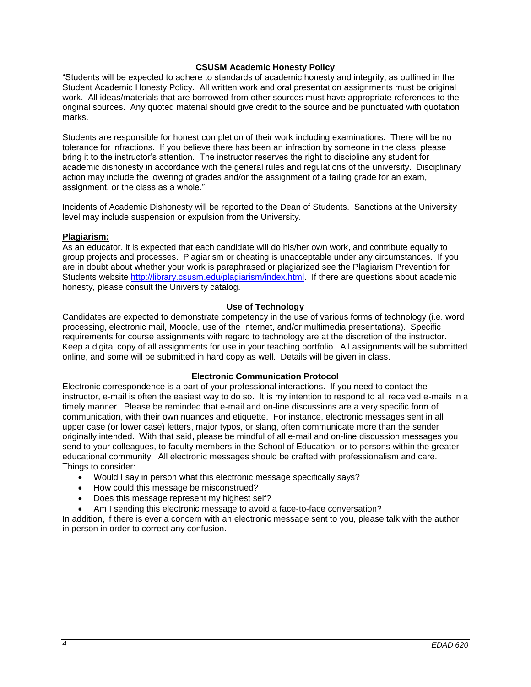## **CSUSM Academic Honesty Policy**

"Students will be expected to adhere to standards of academic honesty and integrity, as outlined in the Student Academic Honesty Policy. All written work and oral presentation assignments must be original work. All ideas/materials that are borrowed from other sources must have appropriate references to the original sources. Any quoted material should give credit to the source and be punctuated with quotation marks.

Students are responsible for honest completion of their work including examinations. There will be no tolerance for infractions. If you believe there has been an infraction by someone in the class, please bring it to the instructor's attention. The instructor reserves the right to discipline any student for academic dishonesty in accordance with the general rules and regulations of the university. Disciplinary action may include the lowering of grades and/or the assignment of a failing grade for an exam, assignment, or the class as a whole."

Incidents of Academic Dishonesty will be reported to the Dean of Students. Sanctions at the University level may include suspension or expulsion from the University.

### **Plagiarism:**

As an educator, it is expected that each candidate will do his/her own work, and contribute equally to group projects and processes. Plagiarism or cheating is unacceptable under any circumstances. If you are in doubt about whether your work is paraphrased or plagiarized see the Plagiarism Prevention for Students website [http://library.csusm.edu/plagiarism/index.html.](http://library.csusm.edu/plagiarism/index.html) If there are questions about academic honesty, please consult the University catalog.

### **Use of Technology**

Candidates are expected to demonstrate competency in the use of various forms of technology (i.e. word processing, electronic mail, Moodle, use of the Internet, and/or multimedia presentations). Specific requirements for course assignments with regard to technology are at the discretion of the instructor. Keep a digital copy of all assignments for use in your teaching portfolio. All assignments will be submitted online, and some will be submitted in hard copy as well. Details will be given in class.

## **Electronic Communication Protocol**

Electronic correspondence is a part of your professional interactions. If you need to contact the instructor, e-mail is often the easiest way to do so. It is my intention to respond to all received e-mails in a timely manner. Please be reminded that e-mail and on-line discussions are a very specific form of communication, with their own nuances and etiquette. For instance, electronic messages sent in all upper case (or lower case) letters, major typos, or slang, often communicate more than the sender originally intended. With that said, please be mindful of all e-mail and on-line discussion messages you send to your colleagues, to faculty members in the School of Education, or to persons within the greater educational community. All electronic messages should be crafted with professionalism and care. Things to consider:

- Would I say in person what this electronic message specifically says?
- How could this message be misconstrued?
- Does this message represent my highest self?
- Am I sending this electronic message to avoid a face-to-face conversation?

In addition, if there is ever a concern with an electronic message sent to you, please talk with the author in person in order to correct any confusion.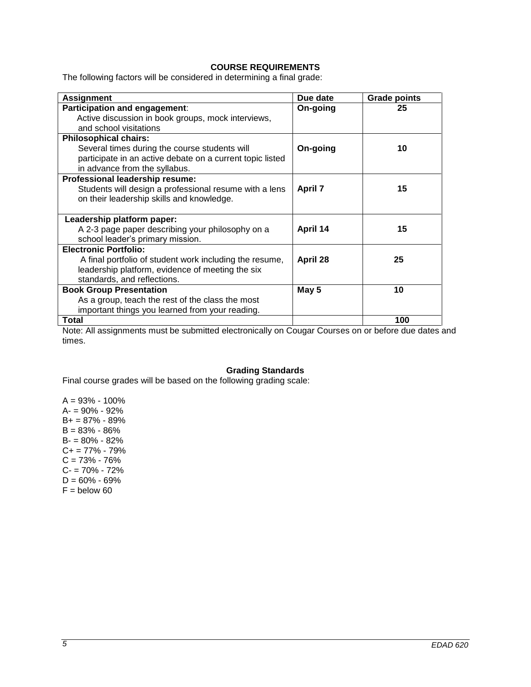# **COURSE REQUIREMENTS**

The following factors will be considered in determining a final grade:

| <b>Assignment</b>                                         | Due date       | <b>Grade points</b> |
|-----------------------------------------------------------|----------------|---------------------|
| Participation and engagement:                             | On-going       | 25                  |
| Active discussion in book groups, mock interviews,        |                |                     |
| and school visitations                                    |                |                     |
| <b>Philosophical chairs:</b>                              |                |                     |
| Several times during the course students will             | On-going       | 10                  |
| participate in an active debate on a current topic listed |                |                     |
| in advance from the syllabus.                             |                |                     |
| Professional leadership resume:                           |                |                     |
| Students will design a professional resume with a lens    | <b>April 7</b> | 15                  |
| on their leadership skills and knowledge.                 |                |                     |
|                                                           |                |                     |
| Leadership platform paper:                                |                |                     |
| A 2-3 page paper describing your philosophy on a          | April 14       | 15                  |
| school leader's primary mission.                          |                |                     |
| <b>Electronic Portfolio:</b>                              |                |                     |
| A final portfolio of student work including the resume,   | April 28       | 25                  |
| leadership platform, evidence of meeting the six          |                |                     |
| standards, and reflections.                               |                |                     |
| <b>Book Group Presentation</b>                            | May 5          | 10                  |
| As a group, teach the rest of the class the most          |                |                     |
| important things you learned from your reading.           |                |                     |
| <b>Total</b>                                              |                | 100                 |

Note: All assignments must be submitted electronically on Cougar Courses on or before due dates and times.

## **Grading Standards**

Final course grades will be based on the following grading scale:

 $A = 93\% - 100\%$ A- = 90% - 92% B+ = 87% - 89%  $B = 83\% - 86\%$ B- = 80% - 82% C+ = 77% - 79%  $C = 73\% - 76\%$ C- = 70% - 72%  $D = 60\% - 69\%$  $F =$  below 60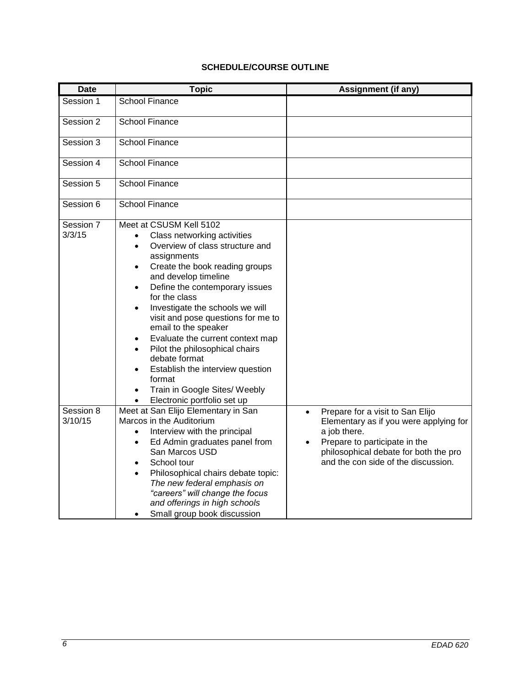# **SCHEDULE/COURSE OUTLINE**

| <b>Date</b>          | <b>Topic</b>                                                                                                                                                                                                                                                                                                                                                                                                                                                                                                                                                                                              | <b>Assignment (if any)</b>                                                                                                                                                                                                            |
|----------------------|-----------------------------------------------------------------------------------------------------------------------------------------------------------------------------------------------------------------------------------------------------------------------------------------------------------------------------------------------------------------------------------------------------------------------------------------------------------------------------------------------------------------------------------------------------------------------------------------------------------|---------------------------------------------------------------------------------------------------------------------------------------------------------------------------------------------------------------------------------------|
| Session 1            | <b>School Finance</b>                                                                                                                                                                                                                                                                                                                                                                                                                                                                                                                                                                                     |                                                                                                                                                                                                                                       |
| Session 2            | <b>School Finance</b>                                                                                                                                                                                                                                                                                                                                                                                                                                                                                                                                                                                     |                                                                                                                                                                                                                                       |
| Session 3            | <b>School Finance</b>                                                                                                                                                                                                                                                                                                                                                                                                                                                                                                                                                                                     |                                                                                                                                                                                                                                       |
| Session 4            | <b>School Finance</b>                                                                                                                                                                                                                                                                                                                                                                                                                                                                                                                                                                                     |                                                                                                                                                                                                                                       |
| Session 5            | <b>School Finance</b>                                                                                                                                                                                                                                                                                                                                                                                                                                                                                                                                                                                     |                                                                                                                                                                                                                                       |
| Session 6            | <b>School Finance</b>                                                                                                                                                                                                                                                                                                                                                                                                                                                                                                                                                                                     |                                                                                                                                                                                                                                       |
| Session 7<br>3/3/15  | Meet at CSUSM Kell 5102<br>Class networking activities<br>$\bullet$<br>Overview of class structure and<br>assignments<br>Create the book reading groups<br>$\bullet$<br>and develop timeline<br>Define the contemporary issues<br>for the class<br>Investigate the schools we will<br>$\bullet$<br>visit and pose questions for me to<br>email to the speaker<br>Evaluate the current context map<br>Pilot the philosophical chairs<br>$\bullet$<br>debate format<br>Establish the interview question<br>format<br>Train in Google Sites/ Weebly<br>$\bullet$<br>Electronic portfolio set up<br>$\bullet$ |                                                                                                                                                                                                                                       |
| Session 8<br>3/10/15 | Meet at San Elijo Elementary in San<br>Marcos in the Auditorium<br>Interview with the principal<br>$\bullet$<br>Ed Admin graduates panel from<br>$\bullet$<br>San Marcos USD<br>School tour<br>Philosophical chairs debate topic:<br>The new federal emphasis on<br>"careers" will change the focus<br>and offerings in high schools<br>Small group book discussion<br>$\bullet$                                                                                                                                                                                                                          | Prepare for a visit to San Elijo<br>$\bullet$<br>Elementary as if you were applying for<br>a job there.<br>Prepare to participate in the<br>$\bullet$<br>philosophical debate for both the pro<br>and the con side of the discussion. |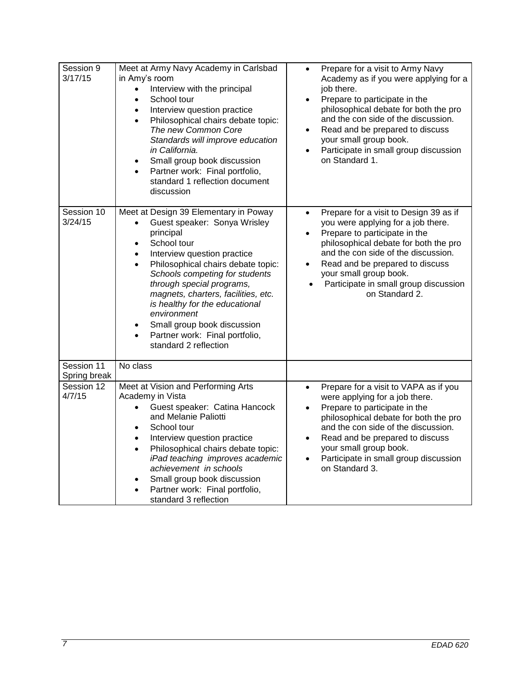| Session 9<br>3/17/15       | Meet at Army Navy Academy in Carlsbad<br>in Amy's room<br>Interview with the principal<br>$\bullet$<br>School tour<br>$\bullet$<br>Interview question practice<br>$\bullet$<br>Philosophical chairs debate topic:<br>$\bullet$<br>The new Common Core<br>Standards will improve education<br>in California.<br>Small group book discussion<br>$\bullet$<br>Partner work: Final portfolio,<br>$\bullet$<br>standard 1 reflection document<br>discussion                                   | Prepare for a visit to Army Navy<br>$\bullet$<br>Academy as if you were applying for a<br>job there.<br>Prepare to participate in the<br>$\bullet$<br>philosophical debate for both the pro<br>and the con side of the discussion.<br>Read and be prepared to discuss<br>$\bullet$<br>your small group book.<br>Participate in small group discussion<br>$\bullet$<br>on Standard 1. |
|----------------------------|------------------------------------------------------------------------------------------------------------------------------------------------------------------------------------------------------------------------------------------------------------------------------------------------------------------------------------------------------------------------------------------------------------------------------------------------------------------------------------------|--------------------------------------------------------------------------------------------------------------------------------------------------------------------------------------------------------------------------------------------------------------------------------------------------------------------------------------------------------------------------------------|
| Session 10<br>3/24/15      | Meet at Design 39 Elementary in Poway<br>Guest speaker: Sonya Wrisley<br>principal<br>School tour<br>$\bullet$<br>Interview question practice<br>$\bullet$<br>Philosophical chairs debate topic:<br>$\bullet$<br>Schools competing for students<br>through special programs,<br>magnets, charters, facilities, etc.<br>is healthy for the educational<br>environment<br>Small group book discussion<br>$\bullet$<br>Partner work: Final portfolio,<br>$\bullet$<br>standard 2 reflection | Prepare for a visit to Design 39 as if<br>$\bullet$<br>you were applying for a job there.<br>Prepare to participate in the<br>$\bullet$<br>philosophical debate for both the pro<br>and the con side of the discussion.<br>Read and be prepared to discuss<br>$\bullet$<br>your small group book.<br>Participate in small group discussion<br>on Standard 2.                         |
| Session 11<br>Spring break | No class                                                                                                                                                                                                                                                                                                                                                                                                                                                                                 |                                                                                                                                                                                                                                                                                                                                                                                      |
| Session 12<br>4/7/15       | Meet at Vision and Performing Arts<br>Academy in Vista<br>Guest speaker: Catina Hancock<br>and Melanie Paliotti<br>School tour<br>$\bullet$<br>Interview question practice<br>$\bullet$<br>Philosophical chairs debate topic:<br>$\bullet$<br>iPad teaching improves academic<br>achievement in schools<br>Small group book discussion<br>٠<br>Partner work: Final portfolio,<br>standard 3 reflection                                                                                   | Prepare for a visit to VAPA as if you<br>$\bullet$<br>were applying for a job there.<br>Prepare to participate in the<br>$\bullet$<br>philosophical debate for both the pro<br>and the con side of the discussion.<br>Read and be prepared to discuss<br>$\bullet$<br>your small group book.<br>Participate in small group discussion<br>$\bullet$<br>on Standard 3.                 |